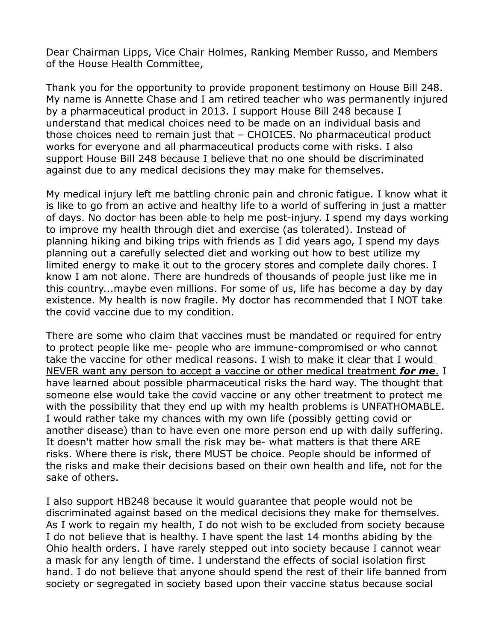Dear Chairman Lipps, Vice Chair Holmes, Ranking Member Russo, and Members of the House Health Committee,

Thank you for the opportunity to provide proponent testimony on House Bill 248. My name is Annette Chase and I am retired teacher who was permanently injured by a pharmaceutical product in 2013. I support House Bill 248 because I understand that medical choices need to be made on an individual basis and those choices need to remain just that – CHOICES. No pharmaceutical product works for everyone and all pharmaceutical products come with risks. I also support House Bill 248 because I believe that no one should be discriminated against due to any medical decisions they may make for themselves.

My medical injury left me battling chronic pain and chronic fatigue. I know what it is like to go from an active and healthy life to a world of suffering in just a matter of days. No doctor has been able to help me post-injury. I spend my days working to improve my health through diet and exercise (as tolerated). Instead of planning hiking and biking trips with friends as I did years ago, I spend my days planning out a carefully selected diet and working out how to best utilize my limited energy to make it out to the grocery stores and complete daily chores. I know I am not alone. There are hundreds of thousands of people just like me in this country...maybe even millions. For some of us, life has become a day by day existence. My health is now fragile. My doctor has recommended that I NOT take the covid vaccine due to my condition.

There are some who claim that vaccines must be mandated or required for entry to protect people like me- people who are immune-compromised or who cannot take the vaccine for other medical reasons. I wish to make it clear that I would NEVER want any person to accept a vaccine or other medical treatment *for me*. I have learned about possible pharmaceutical risks the hard way. The thought that someone else would take the covid vaccine or any other treatment to protect me with the possibility that they end up with my health problems is UNFATHOMABLE. I would rather take my chances with my own life (possibly getting covid or another disease) than to have even one more person end up with daily suffering. It doesn't matter how small the risk may be- what matters is that there ARE risks. Where there is risk, there MUST be choice. People should be informed of the risks and make their decisions based on their own health and life, not for the sake of others.

I also support HB248 because it would guarantee that people would not be discriminated against based on the medical decisions they make for themselves. As I work to regain my health, I do not wish to be excluded from society because I do not believe that is healthy. I have spent the last 14 months abiding by the Ohio health orders. I have rarely stepped out into society because I cannot wear a mask for any length of time. I understand the effects of social isolation first hand. I do not believe that anyone should spend the rest of their life banned from society or segregated in society based upon their vaccine status because social